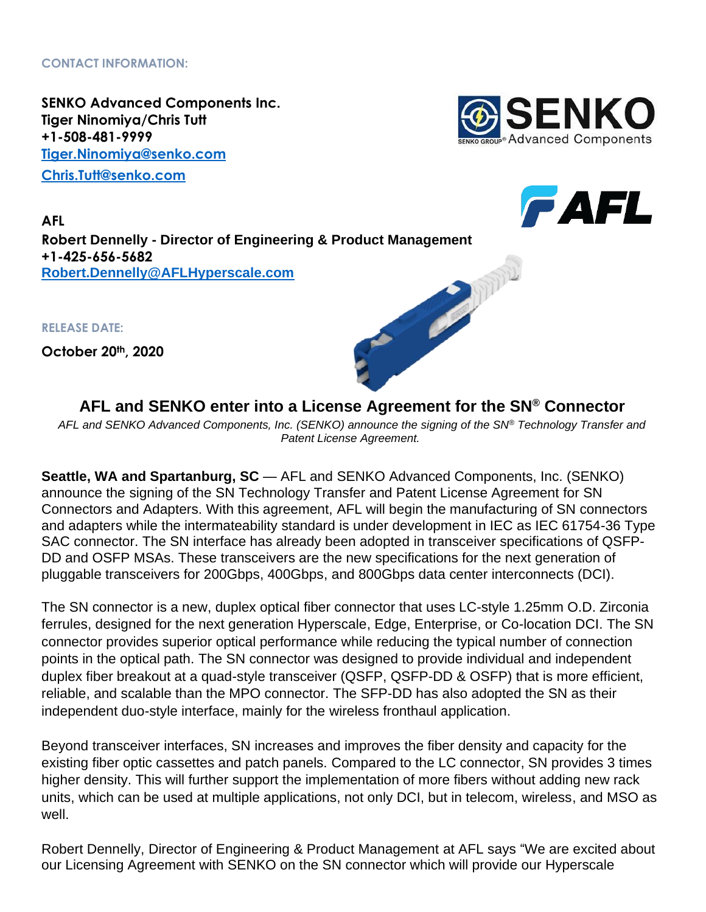**CONTACT INFORMATION:**

**SENKO Advanced Components Inc. Tiger Ninomiya/Chris Tutt +1-508-481-9999 [Tiger.Ninomiya@senko.com](mailto:Tiger.Ninomiya@senko.com) [Chris.Tutt@senko.com](mailto:Chris.Tutt@senko.com)**



**FAFL** 



**RELEASE DATE:**

**October 20th, 2020**



**AFL and SENKO enter into a License Agreement for the SN® Connector**

*AFL and SENKO Advanced Components, Inc. (SENKO) announce the signing of the SN® Technology Transfer and Patent License Agreement.*

**Seattle, WA and Spartanburg, SC** — AFL and SENKO Advanced Components, Inc. (SENKO) announce the signing of the SN Technology Transfer and Patent License Agreement for SN Connectors and Adapters. With this agreement, AFL will begin the manufacturing of SN connectors and adapters while the intermateability standard is under development in IEC as IEC 61754-36 Type SAC connector. The SN interface has already been adopted in transceiver specifications of QSFP-DD and OSFP MSAs. These transceivers are the new specifications for the next generation of pluggable transceivers for 200Gbps, 400Gbps, and 800Gbps data center interconnects (DCI).

The SN connector is a new, duplex optical fiber connector that uses LC-style 1.25mm O.D. Zirconia ferrules, designed for the next generation Hyperscale, Edge, Enterprise, or Co-location DCI. The SN connector provides superior optical performance while reducing the typical number of connection points in the optical path. The SN connector was designed to provide individual and independent duplex fiber breakout at a quad-style transceiver (QSFP, QSFP-DD & OSFP) that is more efficient, reliable, and scalable than the MPO connector. The SFP-DD has also adopted the SN as their independent duo-style interface, mainly for the wireless fronthaul application.

Beyond transceiver interfaces, SN increases and improves the fiber density and capacity for the existing fiber optic cassettes and patch panels. Compared to the LC connector, SN provides 3 times higher density. This will further support the implementation of more fibers without adding new rack units, which can be used at multiple applications, not only DCI, but in telecom, wireless, and MSO as well.

Robert Dennelly, Director of Engineering & Product Management at AFL says "We are excited about our Licensing Agreement with SENKO on the SN connector which will provide our Hyperscale